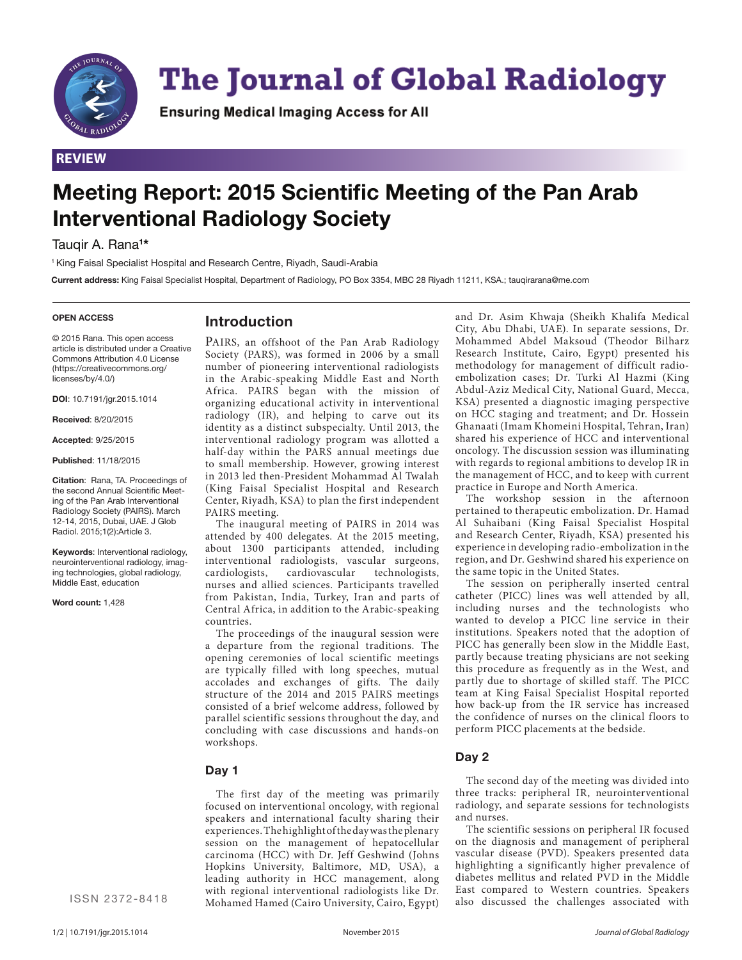

# **The Journal of Global Radiology**

**Ensuring Medical Imaging Access for All** 

## **REVIEW**

# **Meeting Report: 2015 Scientific Meeting of the Pan Arab Interventional Radiology Society**

Tauqir A. Rana**<sup>1</sup> \***

1 King Faisal Specialist Hospital and Research Centre, Riyadh, Saudi-Arabia

**Current address:** King Faisal Specialist Hospital, Department of Radiology, PO Box 3354, MBC 28 Riyadh 11211, KSA.; tauqirarana@me.com

#### **OPEN ACCESS**

### **Introduction**

© 2015 Rana. This open access article is distributed under a Creative Commons Attribution 4.0 License (https://creativecommons.org/ licenses/by/4.0/)

**DOI**: 10.7191/jgr.2015.1014

**Received**: 8/20/2015

**Accepted**: 9/25/2015

**Published**: 11/18/2015

**Citation**: Rana, TA. Proceedings of the second Annual Scientific Meeting of the Pan Arab Interventional Radiology Society (PAIRS). March 12-14, 2015, Dubai, UAE. J Glob Radiol. 2015;1(2):Article 3.

**Keywords**: Interventional radiology, neurointerventional radiology, imaging technologies, global radiology, Middle East, education

**Word count:** 1,428

PAIRS, an offshoot of the Pan Arab Radiology Society (PARS), was formed in 2006 by a small number of pioneering interventional radiologists in the Arabic-speaking Middle East and North Africa. PAIRS began with the mission of organizing educational activity in interventional radiology (IR), and helping to carve out its identity as a distinct subspecialty. Until 2013, the interventional radiology program was allotted a half-day within the PARS annual meetings due to small membership. However, growing interest in 2013 led then-President Mohammad Al Twalah (King Faisal Specialist Hospital and Research Center, Riyadh, KSA) to plan the first independent PAIRS meeting.

The inaugural meeting of PAIRS in 2014 was attended by 400 delegates. At the 2015 meeting, about 1300 participants attended, including interventional radiologists, vascular surgeons, cardiologists, cardiovascular technologists, nurses and allied sciences. Participants travelled from Pakistan, India, Turkey, Iran and parts of Central Africa, in addition to the Arabic-speaking countries.

The proceedings of the inaugural session were a departure from the regional traditions. The opening ceremonies of local scientific meetings are typically filled with long speeches, mutual accolades and exchanges of gifts. The daily structure of the 2014 and 2015 PAIRS meetings consisted of a brief welcome address, followed by parallel scientific sessions throughout the day, and concluding with case discussions and hands-on workshops.

#### **Day 1**

The first day of the meeting was primarily focused on interventional oncology, with regional speakers and international faculty sharing their experiences. The highlight of the day was the plenary session on the management of hepatocellular carcinoma (HCC) with Dr. Jeff Geshwind (Johns Hopkins University, Baltimore, MD, USA), a leading authority in HCC management, along with regional interventional radiologists like Dr. Mohamed Hamed (Cairo University, Cairo, Egypt)

and Dr. Asim Khwaja (Sheikh Khalifa Medical City, Abu Dhabi, UAE). In separate sessions, Dr. Mohammed Abdel Maksoud (Theodor Bilharz Research Institute, Cairo, Egypt) presented his methodology for management of difficult radioembolization cases; Dr. Turki Al Hazmi (King Abdul-Aziz Medical City, National Guard, Mecca, KSA) presented a diagnostic imaging perspective on HCC staging and treatment; and Dr. Hossein Ghanaati (Imam Khomeini Hospital, Tehran, Iran) shared his experience of HCC and interventional oncology. The discussion session was illuminating with regards to regional ambitions to develop IR in the management of HCC, and to keep with current practice in Europe and North America.

The workshop session in the afternoon pertained to therapeutic embolization. Dr. Hamad Al Suhaibani (King Faisal Specialist Hospital and Research Center, Riyadh, KSA) presented his experience in developing radio-embolization in the region, and Dr. Geshwind shared his experience on the same topic in the United States.

The session on peripherally inserted central catheter (PICC) lines was well attended by all, including nurses and the technologists who wanted to develop a PICC line service in their institutions. Speakers noted that the adoption of PICC has generally been slow in the Middle East, partly because treating physicians are not seeking this procedure as frequently as in the West, and partly due to shortage of skilled staff. The PICC team at King Faisal Specialist Hospital reported how back-up from the IR service has increased the confidence of nurses on the clinical floors to perform PICC placements at the bedside.

#### **Day 2**

The second day of the meeting was divided into three tracks: peripheral IR, neurointerventional radiology, and separate sessions for technologists and nurses.

The scientific sessions on peripheral IR focused on the diagnosis and management of peripheral vascular disease (PVD). Speakers presented data highlighting a significantly higher prevalence of diabetes mellitus and related PVD in the Middle East compared to Western countries. Speakers also discussed the challenges associated with

ISSN 2372-8418